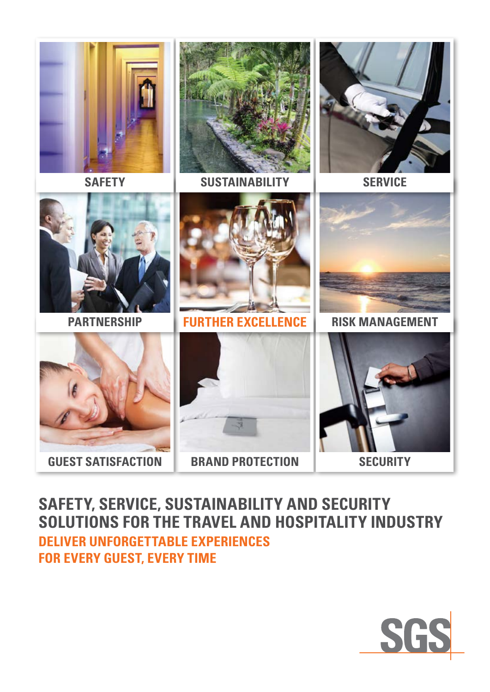

**Safety, Service, Sustainability and Security Solutions for the Travel and Hospitality Industry DELIVER UNFORGETTABLE EXPERIENCES FOR EVERY GUEST, EVERY TIME**

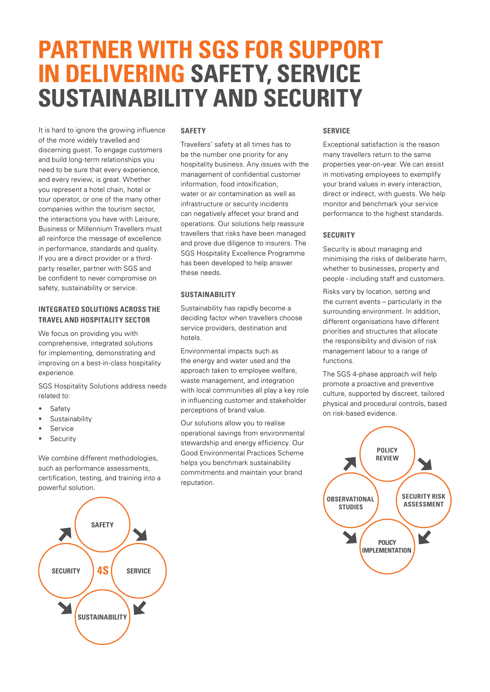# **PARTNER WITH SGS FOR SUPPORT IN DELIVERING SAFETY, SERVICE SUSTAINABILITY AND SECURITY**

It is hard to ignore the growing influence of the more widely travelled and discerning guest. To engage customers and build long-term relationships you need to be sure that every experience, and every review, is great. Whether you represent a hotel chain, hotel or tour operator, or one of the many other companies within the tourism sector, the interactions you have with Leisure, Business or Millennium Travellers must all reinforce the message of excellence in performance, standards and quality. If you are a direct provider or a thirdparty reseller, partner with SGS and be confident to never compromise on safety, sustainability or service.

## **INTEGRATED SOLUTIONS ACROSS THE TRAVEL AND HOSPITALITY SECTOR**

We focus on providing you with comprehensive, integrated solutions for implementing, demonstrating and improving on a best-in-class hospitality experience.

SGS Hospitality Solutions address needs related to:

- Safety
- Sustainability
- **Service**
- **Security**

We combine different methodologies, such as performance assessments, certification, testing, and training into a powerful solution.

## **Safety**

Travellers' safety at all times has to be the number one priority for any hospitality business. Any issues with the management of confidential customer information, food intoxification, water or air contamination as well as infrastructure or security incidents can negatively affecet your brand and operations. Our solutions help reassure travellers that risks have been managed and prove due diligence to insurers. The SGS Hospitality Excellence Programme has been developed to help answer these needs.

## **SUSTAINABILITY**

Sustainability has rapidly become a deciding factor when travellers choose service providers, destination and hotels.

Environmental impacts such as the energy and water used and the approach taken to employee welfare, waste management, and integration with local communities all play a key role in influencing customer and stakeholder perceptions of brand value.

Our solutions allow you to realise operational savings from environmental stewardship and energy efficiency. Our Good Environmental Practices Scheme helps you benchmark sustainability commitments and maintain your brand reputation.

## **SERVICE**

Exceptional satisfaction is the reason many travellers return to the same properties year-on-year. We can assist in motivating employees to exemplify your brand values in every interaction, direct or indirect, with guests. We help monitor and benchmark your service performance to the highest standards.

## **SECURITY**

Security is about managing and minimising the risks of deliberate harm, whether to businesses, property and people - including staff and customers.

Risks vary by location, setting and the current events – particularly in the surrounding environment. In addition, different organisations have different priorities and structures that allocate the responsibility and division of risk management labour to a range of functions.

The SGS 4-phase approach will help promote a proactive and preventive culture, supported by discreet, tailored physical and procedural controls, based on risk-based evidence.



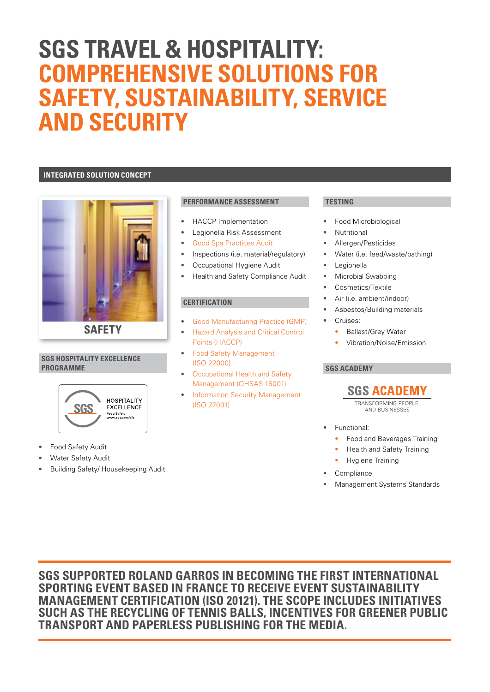## **sgs travel & hospitality: COMPREHENSIVE SOLUTIONS FOR SAFETY, SUSTAINABILITY, SERVICE and security**

## **INTEGRATED SOLUTION CONCEPT**



**Safety**

### **SGS HOSPITALITY EXCELLENCE PROGRAMME**



- Food Safety Audit
- Water Safety Audit
- Building Safety/ Housekeeping Audit

## **PERFORMANCE ASSESSMENT**

- HACCP Implementation
- Legionella Risk Assessment
- [Good Spa Practices Audit](http://www.sgs.com/en/Sustainability/Facilities-and-Production/Infrastructure-Building-Services/Hospitality-Services/Good-Spa-Practices.aspx)
- Inspections (i.e. material/regulatory)
- Occupational Hygiene Audit
- Health and Safety Compliance Audit

## **CERTIFICATION**

- [Good Manufacturing Practice \(GMP\)](http://www.sgs.com/en/Agriculture-Food/Food/Processors-and-Suppliers/Other-Food-Certification/Good-Manufacturing-Practice-GMP-Certification.aspx)
- [Hazard Analysis and Critical Control](http://www.sgs.com/en/Agriculture-Food/Food/Processors-and-Suppliers/Other-Food-Certification/HACCP-Certification.aspx)  [Points \(HACCP\)](http://www.sgs.com/en/Agriculture-Food/Food/Processors-and-Suppliers/Other-Food-Certification/HACCP-Certification.aspx)
- [Food Safety Management](http://www.sgs.com/en/Agriculture-Food/Food/Processors-and-Suppliers/Other-Food-Certification/ISO-22000.aspx) [\(ISO 22000\)](http://www.sgs.com/en/Agriculture-Food/Food/Processors-and-Suppliers/Other-Food-Certification/ISO-22000.aspx)
- [Occupational Health and Safety](http://www.sgs.com/en/Health-Safety/Quality-Health-Safety-and-Environment/Health-and-Safety/Health-Safety-and-Environment-Management/OHSAS-18001-Occupational-Health-and-Safety-Management-Systems.aspx)  [Management \(OHSAS 18001\)](http://www.sgs.com/en/Health-Safety/Quality-Health-Safety-and-Environment/Health-and-Safety/Health-Safety-and-Environment-Management/OHSAS-18001-Occupational-Health-and-Safety-Management-Systems.aspx)
- **Information Security Management** [\(ISO 27001\)](http://www.sgs.com/en/Risk-Management/Quality-Security-and-Business-Continuity/Quality/Information-Security-Management/ISO-27001-2013-Information-Security-Management-Systems.aspx)

## **TESTING**

- Food Microbiological
- **Nutritional**
- Allergen/Pesticides
- Water (i.e. feed/waste/bathing)
- **Legionella**
- Microbial Swabbing
- Cosmetics/Textile
- Air (i.e. ambient/indoor)
- Asbestos/Building materials
- Cruises:
	- Ballast/Grey Water
	- Vibration/Noise/Emission

## **SGS ACADEMY**

## **SGS ACADEMY**

**TRANSFORMING PEOPLE** AND BUSINESSES

- Functional:
	- Food and Beverages Training
	- Health and Safety Training
	- Hygiene Training
- **Compliance**
- Management Systems Standards

**SGS SUPPORTED ROLAND GARROS IN BECOMING THE FIRST INTERNATIONAL SPORTING EVENT BASED IN FRANCE TO RECEIVE EVENT SUSTAINABILITY MANAGEMENT CERTIFICATION (ISO 20121). THE SCOPE INCLUDES INITIATIVES SUCH AS THE RECYCLING OF TENNIS BALLS, INCENTIVES FOR GREENER PUBLIC TRANSPORT AND PAPERLESS PUBLISHING FOR THE MEDIA.**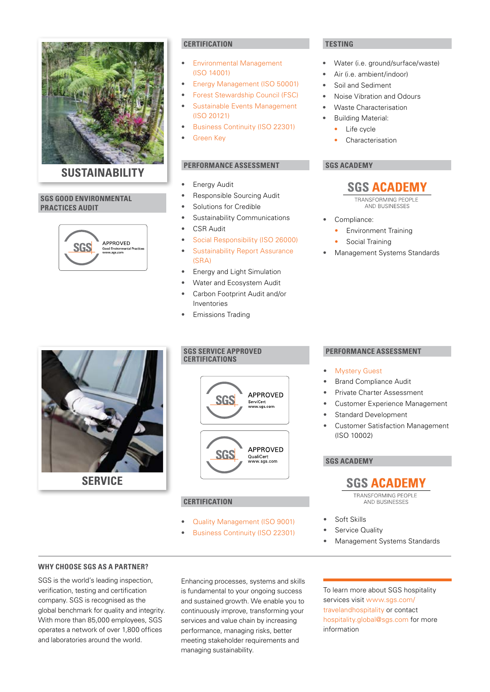

### **SUSTAINABILITY sustainability**

## **SGS GOOD ENVIRONMENTAL PRACTICES AUDIT**



## **certification testing**

- [Environmental Management](http://www.sgs.com/en/Agriculture-Food/Quality-Health-Safety-and-Environment/Environment/ISO-14001-2015-Revision.aspx)  [\(ISO 14001\)](http://www.sgs.com/en/Agriculture-Food/Quality-Health-Safety-and-Environment/Environment/ISO-14001-2015-Revision.aspx)
- [Energy Management \(ISO 50001\)](http://www.sgs.com/en/Energy/Quality-Health-Safety-and-Environment/Sustainability/Energy-Services/ISO-50001-Certification-Energy-Management-Systems.aspx)
- [Forest Stewardship Council \(FSC\)](http://www.sgs.com/en/Agriculture-Food/Forestry/Services-for-Forest-Products-and-Solid-Biofuels/Audits-Certification-and-Training/Forest-Product-Chain-of-Custody-Certification.aspx)
- Sustainable Events Management [\(ISO 20121\)](http://www.sgs.com/en/Sustainability/Management-and-Compliance/Organization-and-Events/ISO-20121-Sustainable-Events.aspx)
- [Business Continuity \(ISO 22301\)](http://www.sgs.com/en/Risk-Management/Quality-Security-and-Business-Continuity/Quality/Business-Continuity-Management/ISO-22301-Certification-Business-Continuity-Management.aspx)
- **[Green Key](http://www.greenkey.global/corporate-partners/)**

## **PERFORMANCE ASSESSMENT**

- **Energy Audit**
- Responsible Sourcing Audit
- Solutions for Credible
- Sustainability Communications
- CSR Audit
- [Social Responsibility \(ISO 26000\)](http://www.sgs.com/en/Sustainability/Social-Sustainability/Audit-Certification-and-Verification/ISO-26000-Performance-Assessment-Social-Responsibility.aspx)
- [Sustainability Report Assurance](http://www.sgs.com/en/Sustainability/Sustainability-Reporting/Sustainability-Report-Assurance-SRA.aspx)  [\(SRA\)](http://www.sgs.com/en/Sustainability/Sustainability-Reporting/Sustainability-Report-Assurance-SRA.aspx)
- Energy and Light Simulation
- Water and Ecosystem Audit
- Carbon Footprint Audit and/or Inventories
- Emissions Trading

- Water (i.e. ground/surface/waste)
- Air (i.e. ambient/indoor)
- Soil and Sediment
- Noise Vibration and Odours
- Waste Characterisation
- Building Material:
	- Life cycle
	- Characterisation

## **sgs academy**



AND BUSINESSES

- Compliance:
	- Environment Training
- Social Training
- Management Systems Standards



## **sgs service approved**



## **CERTIFICATION**

- [Quality Management \(ISO 9001\)](http://www.sgs.com/en/Agriculture-Food/Quality-Health-Safety-and-Environment/Quality/ISO-9001-2015-Revision.aspx)
- [Business Continuity \(ISO 22301\)](http://www.sgs.com/en/Risk-Management/Quality-Security-and-Business-Continuity/Quality/Business-Continuity-Management/ISO-22301-Certification-Business-Continuity-Management.aspx)

## **PERFORMANCE ASSESSMENT**

- **[Mystery Guest](http://www.sgs.com/en/Consumer-Goods-Retail/Food/Retail-and-Hospitality/Technical-Solutions/Mystery-Shopping.aspx)**
- Brand Compliance Audit
- Private Charter Assessment
- Customer Experience Management
- Standard Development
- Customer Satisfaction Management (ISO 10002)

## **sgs academy**

## **SGS ACADEMY**

TRANSFORMING PEOPLE AND BUSINESSES

- Soft Skills
- Service Quality
- Management Systems Standards

## **WHY CHOOSE SGS AS A PARTNER?**

SGS is the world's leading inspection, verification, testing and certification company. SGS is recognised as the global benchmark for quality and integrity. With more than 85,000 employees, SGS operates a network of over 1,800 offices and laboratories around the world.

Enhancing processes, systems and skills is fundamental to your ongoing success and sustained growth. We enable you to continuously improve, transforming your services and value chain by increasing performance, managing risks, better meeting stakeholder requirements and managing sustainability.

To learn more about SGS hospitality services visit [www.sgs.com/](http://www.sgs.com/travelandhospitality) [travelandhospitality](http://www.sgs.com/travelandhospitality) or contact [hospitality.global@sgs.com](mailto:HOSPITALITY.GLOBAL%40SGS.COM?subject=) for more information